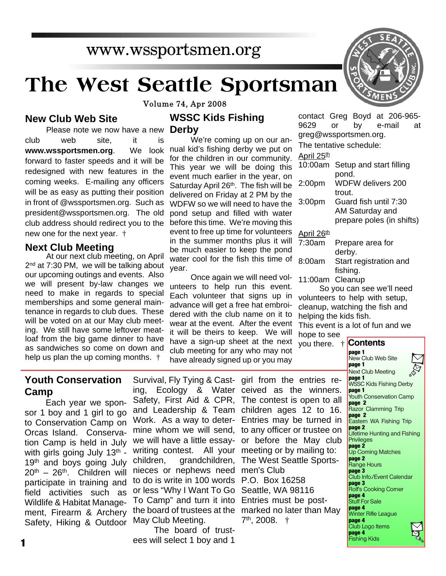# **The West Seattle Sportsman**

**Volume 74, Apr 2008** 

#### **New Club Web Site**

Please note we now have a new club web site, it is **www.wssportsmen.org**. We look forward to faster speeds and it will be redesigned with new features in the coming weeks. E-mailing any officers will be as easy as putting their position in front of @wssportsmen.org. Such as president@wssportsmen.org. The old club address should redirect you to the new one for the next year. †

#### **Next Club Meeting**

At our next club meeting, on April 2<sup>nd</sup> at 7:30 PM, we will be talking about our upcoming outings and events. Also we will present by-law changes we need to make in regards to special memberships and some general maintenance in regards to club dues. These will be voted on at our May club meeting. We still have some leftover meatloaf from the big game dinner to have as sandwiches so come on down and help us plan the up coming months. †

## **WSSC Kids Fishing**

**Derby**

We're coming up on our annual kid's fishing derby we put on for the children in our community. This year we will be doing this event much earlier in the year, on Saturday April 26<sup>th</sup>. The fish will be delivered on Friday at 2 PM by the WDFW so we will need to have the pond setup and filled with water before this time. We're moving this event to free up time for volunteers in the summer months plus it will  $\frac{1}{7}$ be much easier to keep the pond water cool for the fish this time of a year.

Once again we will need volunteers to help run this event. Each volunteer that signs up in advance will get a free hat embroidered with the club name on it to wear at the event. After the event it will be theirs to keep. We will have a sign-up sheet at the next club meeting for any who may not have already signed up or you may

contact Greg Boyd at 206-965- 9629 or by e-mail at greg@wssportsmen.org.

The tentative schedule:

#### April 25<sup>th</sup>

|                        | 10:00am Setup and start filling                    |
|------------------------|----------------------------------------------------|
| 2:00 <sub>pm</sub>     | pond.<br><b>WDFW delivers 200</b>                  |
| 3:00 <sub>pm</sub>     | trout.<br>Guard fish until 7:30<br>AM Saturday and |
|                        | prepare poles (in shifts)                          |
| April 26 <sup>th</sup> |                                                    |

| 7:30am | Prepare area for       |
|--------|------------------------|
|        | derby.                 |
| 8:00am | Start registration and |
|        | fishing.               |

11:00am Cleanup

So you can see we'll need volunteers to help with setup, cleanup, watching the fish and helping the kids fish.

This event is a lot of fun and we hope to see

you there. †



### **Youth Conservation Camp**

Each year we sponsor 1 boy and 1 girl to go to Conservation Camp on Orcas Island. Conservation Camp is held in July with girls going July  $13<sup>th</sup>$  -19<sup>th</sup> and boys going July  $20^{th}$  –  $26^{th}$ . Children will participate in training and field activities such as Wildlife & Habitat Management, Firearm & Archery Safety, Hiking & Outdoor

ing, Ecology & Water ceived as the winners. Safety, First Aid & CPR, The contest is open to all and Leadership & Team children ages 12 to 16. Work. As a way to deter-Entries may be turned in mine whom we will send, to any officer or trustee on we will have a little essay-or before the May club writing contest. All your meeting or by mailing to: children, grandchildren, The West Seattle Sportsnieces or nephews need men's Club to do is write in 100 words P.O. Box 16258 or less "Why I Want To Go Seattle, WA 98116 To Camp" and turn it into Entries must be postthe board of trustees at the marked no later than May May Club Meeting.

The board of trustees will select 1 boy and 1

Survival, Fly Tying & Cast-girl from the entries re-7 th, 2008. †

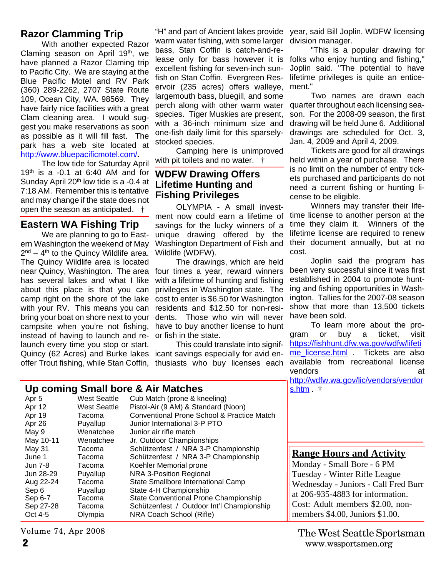#### **Razor Clamming Trip**

With another expected Razor Claming season on April 19th, we have planned a Razor Claming trip to Pacific City. We are staying at the Blue Pacific Motel and RV Park (360) 289-2262, 2707 State Route 109, Ocean City, WA. 98569. They have fairly nice facilities with a great Clam cleaning area. I would suggest you make reservations as soon as possible as it will fill fast. The park has a web site located at http://www.bluepacificmotel.com/.

The low tide for Saturday April  $19<sup>th</sup>$  is a -0.1 at 6:40 AM and for Sunday April 20<sup>th</sup> low tide is a -0.4 at 7:18 AM. Remember this is tentative and may change if the state does not open the season as anticipated. †

#### **Eastern WA Fishing Trip**

We are planning to go to Eastern Washington the weekend of May 2<sup>nd</sup> – 4<sup>th</sup> to the Quincy Wildlife area. The Quincy Wildlife area is located near Quincy, Washington. The area has several lakes and what I like about this place is that you can camp right on the shore of the lake with your RV. This means you can bring your boat on shore next to your campsite when you're not fishing, instead of having to launch and relaunch every time you stop or start. Quincy (62 Acres) and Burke lakes offer Trout fishing, while Stan Coffin, thusiasts who buy licenses each

**Up coming Small bore & Air Matches**

warm water fishing, with some larger division manager. bass, Stan Coffin is catch-and-reexcellent fishing for seven-inch sunfish on Stan Coffin. Evergreen Reservoir (235 acres) offers walleye, largemouth bass, bluegill, and some perch along with other warm water species. Tiger Muskies are present, with a 36-inch minimum size and one-fish daily limit for this sparselystocked species.

Camping here is unimproved with pit toilets and no water.  $\dagger$ 

#### **WDFW Drawing Offers Lifetime Hunting and Fishing Privileges**

OLYMPIA - A small investment now could earn a lifetime of savings for the lucky winners of a unique drawing offered by the Washington Department of Fish and Wildlife (WDFW).

The drawings, which are held four times a year, reward winners with a lifetime of hunting and fishing privileges in Washington state. The cost to enter is \$6.50 for Washington residents and \$12.50 for non-residents. Those who win will never have to buy another license to hunt or fish in the state.

This could translate into significant savings especially for avid en-

"H" and part of Ancient lakes provide year, said Bill Joplin, WDFW licensing

lease only for bass however it is folks who enjoy hunting and fishing," "This is a popular drawing for Joplin said. "The potential to have lifetime privileges is quite an enticement."

> Two names are drawn each quarter throughout each licensing season. For the 2008-09 season, the first drawing will be held June 6. Additional drawings are scheduled for Oct. 3, Jan. 4, 2009 and April 4, 2009.

Tickets are good for all drawings held within a year of purchase. There is no limit on the number of entry tickets purchased and participants do not need a current fishing or hunting license to be eligible.

Winners may transfer their lifetime license to another person at the time they claim it. Winners of the lifetime license are required to renew their document annually, but at no cost.

Joplin said the program has been very successful since it was first established in 2004 to promote hunting and fishing opportunities in Washington. Tallies for the 2007-08 season show that more than 13,500 tickets have been sold.

To learn more about the program or buy a ticket, visit https://fishhunt.dfw.wa.gov/wdfw/lifeti me license.html . Tickets are also available from recreational license vendors at a at a series at a contract and a series at a series and a series at a series at a series at a series at a series at a series at a series at a series at a series at  $\alpha$  series at a series at a series at a serie http://wdfw.wa.gov/lic/vendors/vendor s.htm . †

| op commy oman porc a mi-materico |                     | <u> J.I.IUII</u>                           |                                      |
|----------------------------------|---------------------|--------------------------------------------|--------------------------------------|
| Apr 5                            | West Seattle        | Cub Match (prone & kneeling)               |                                      |
| Apr 12                           | <b>West Seattle</b> | Pistol-Air (9 AM) & Standard (Noon)        |                                      |
| Apr 19                           | Tacoma              | Conventional Prone School & Practice Match |                                      |
| Apr 26                           | Puyallup            | Junior International 3-P PTO               |                                      |
| May 9                            | Wenatchee           | Junior air rifle match                     |                                      |
| May 10-11                        | Wenatchee           | Jr. Outdoor Championships                  |                                      |
| May 31                           | Tacoma              | Schützenfest / NRA 3-P Championship        |                                      |
| June 1                           | Tacoma              | Schützenfest / NRA 3-P Championship        | <b>Range Hours and Activity</b>      |
| <b>Jun 7-8</b>                   | Tacoma              | Koehler Memorial prone                     | Monday - Small Bore - 6 PM           |
| Jun 28-29                        | Puyallup            | NRA 3-Position Regional                    | Tuesday - Winter Rifle League        |
| Aug 22-24                        | Tacoma              | State Smallbore International Camp         | Wednesday - Juniors - Call Fred Burr |
| Sep 6                            | Puyallup            | State 4-H Championship                     | at $206-935-4883$ for information.   |
| Sep 6-7                          | Tacoma              | State Conventional Prone Championship      |                                      |
| Sep 27-28                        | Tacoma              | Schützenfest / Outdoor Int'l Championship  | Cost: Adult members \$2.00, non-     |
| Oct 4-5                          | Olympia             | NRA Coach School (Rifle)                   | members $$4.00$ , Juniors $$1.00$ .  |
|                                  |                     |                                            |                                      |

Volume 74, Apr 2008

**2** www.wssportsmen.org The West Seattle Sportsman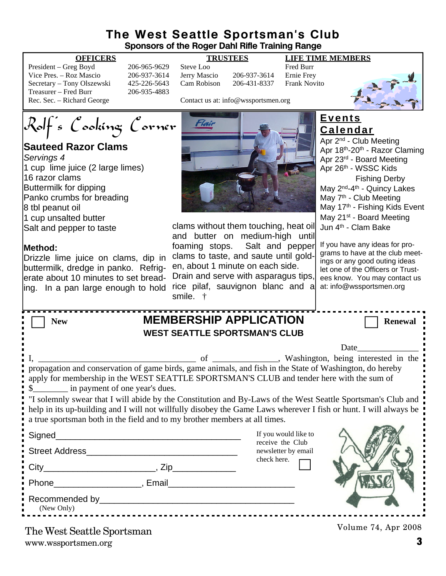#### **The West Seattle Sportsman's Club Sponsors of the Roger Dahl Rifle Training Range**

#### **OFFICERS TRUSTEES LIFE TIME MEMBERS**

| President – Greg Boyd      | 2               |
|----------------------------|-----------------|
| Vice Pres. – Roz Mascio    | $\mathcal{D}_1$ |
| Secretary – Tony Olszewski | 4               |
| Treasurer – Fred Burr      | 2               |
| Rec. Sec. – Richard George |                 |

06-965-9629 Steve Loo Fred Burr<br>06-937-3614 Jerry Mascio 206-937-3614 Ernie Frev 06-937-3614 Jerry Mascio 206-937-3614 25-226-5643 Cam Robison 206-431-8337 Frank Novito 06-935-4883

Contact us at: info@wssportsmen.org

Rolf's Cooking Corner

## **Sauteed Razor Clams**

*Servings 4* 1 cup lime juice (2 large limes) 16 razor clams Buttermilk for dipping Panko crumbs for breading 8 tbl peanut oil 1 cup unsalted butter Salt and pepper to taste

#### **Method:**

Drizzle lime juice on clams, dip in buttermilk, dredge in panko. Refriglerate about 10 minutes to set breading. In a pan large enough to hold rice pilaf, sauvignon blanc and a



clams without them touching, heat oil and butter on medium-high until foaming stops. Salt and pepper clams to taste, and saute until golden, about 1 minute on each side. Drain and serve with asparagus tips,

#### **Events Calendar**

Apr 2nd - Club Meeting Apr 18th-20th - Razor Claming Apr 23rd - Board Meeting Apr 26th - WSSC Kids Fishing Derby May 2<sup>nd</sup>-4<sup>th</sup> - Quincy Lakes May 7<sup>th</sup> - Club Meeting May 17<sup>th</sup> - Fishing Kids Event May 21<sup>st</sup> - Board Meeting Jun 4th - Clam Bake

If you have any ideas for programs to have at the club meetings or any good outing ideas let one of the Officers or Trustees know. You may contact us at: info@wssportsmen.org

| <b>MEMBERSHIP APPLICATION</b><br><b>New</b>                                                                                                                                                                                                                                                                                                                                                                                                                                                                                                                       | <b>Renewal</b>                          |  |  |  |  |
|-------------------------------------------------------------------------------------------------------------------------------------------------------------------------------------------------------------------------------------------------------------------------------------------------------------------------------------------------------------------------------------------------------------------------------------------------------------------------------------------------------------------------------------------------------------------|-----------------------------------------|--|--|--|--|
| <b>WEST SEATTLE SPORTSMAN'S CLUB</b>                                                                                                                                                                                                                                                                                                                                                                                                                                                                                                                              |                                         |  |  |  |  |
|                                                                                                                                                                                                                                                                                                                                                                                                                                                                                                                                                                   | Date                                    |  |  |  |  |
| propagation and conservation of game birds, game animals, and fish in the State of Washington, do hereby<br>apply for membership in the WEST SEATTLE SPORTSMAN'S CLUB and tender here with the sum of<br>\$<br>y in payment of one year's dues.<br>"I solemnly swear that I will abide by the Constitution and By-Laws of the West Seattle Sportsman's Club and<br>help in its up-building and I will not willfully disobey the Game Laws wherever I fish or hunt. I will always be<br>a true sportsman both in the field and to my brother members at all times. |                                         |  |  |  |  |
|                                                                                                                                                                                                                                                                                                                                                                                                                                                                                                                                                                   | If you would like to                    |  |  |  |  |
| <b>Street Address</b>                                                                                                                                                                                                                                                                                                                                                                                                                                                                                                                                             | receive the Club<br>newsletter by email |  |  |  |  |
|                                                                                                                                                                                                                                                                                                                                                                                                                                                                                                                                                                   | check here.                             |  |  |  |  |
|                                                                                                                                                                                                                                                                                                                                                                                                                                                                                                                                                                   |                                         |  |  |  |  |
| (New Only)                                                                                                                                                                                                                                                                                                                                                                                                                                                                                                                                                        |                                         |  |  |  |  |
| $\mathbf{m}$ $\mathbf{w}$ $\mathbf{w}$ $\mathbf{w}$ $\mathbf{w}$ $\mathbf{w}$                                                                                                                                                                                                                                                                                                                                                                                                                                                                                     | Volume 74, Apr 2008                     |  |  |  |  |

smile. †

www.wssportsmen.org **3** The West Seattle Sportsman